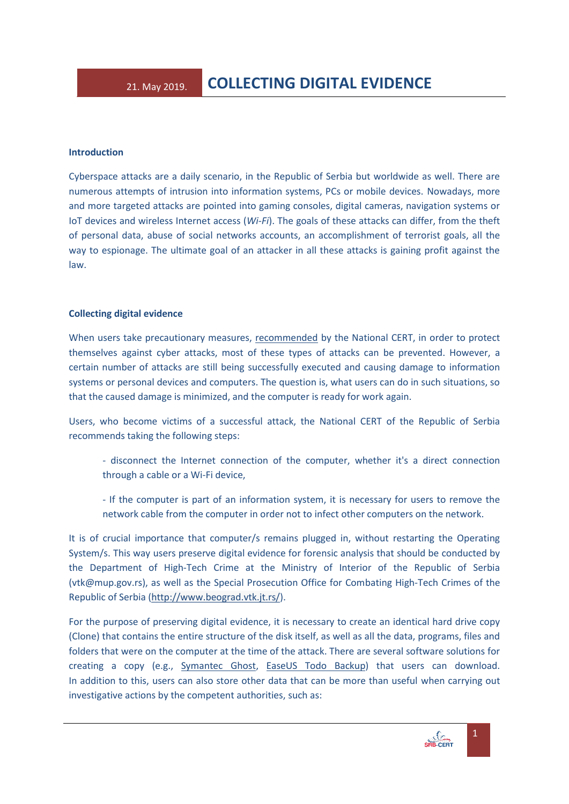## **Introduction**

Cyberspace attacks are a daily scenario, in the Republic of Serbia but worldwide as well. There are numerous attempts of intrusion into information systems, PCs or mobile devices. Nowadays, more and more targeted attacks are pointed into gaming consoles, digital cameras, navigation systems or IoT devices and wireless Internet access (*Wi-Fi*). The goals of these attacks can differ, from the theft of personal data, abuse of social networks accounts, an accomplishment of terrorist goals, all the way to espionage. The ultimate goal of an attacker in all these attacks is gaining profit against the law.

## **Collecting digital evidence**

When users take precautionary measures, [recommended](https://www.cert.rs/files/shares/Brosura-eng.pdf) by the National CERT, in order to protect themselves against cyber attacks, most of these types of attacks can be prevented. However, a certain number of attacks are still being successfully executed and causing damage to information systems or personal devices and computers. The question is, what users can do in such situations, so that the caused damage is minimized, and the computer is ready for work again.

Users, who become victims of a successful attack, the National CERT of the Republic of Serbia recommends taking the following steps:

- disconnect the Internet connection of the computer, whether it's a direct connection through a cable or a Wi-Fi device,
- If the computer is part of an information system, it is necessary for users to remove the network cable from the computer in order not to infect other computers on the network.

It is of crucial importance that computer/s remains plugged in, without restarting the Operating System/s. This way users preserve digital evidence for forensic analysis that should be conducted by the Department of High-Tech Crime at the Ministry of Interior of the Republic of Serbia (vtk@mup.gov.rs), as well as the Special Prosecution Office for Combating High-Tech Crimes of the Republic of Serbia [\(http://www.beograd.vtk.jt.rs/\)](http://www.beograd.vtk.jt.rs/).

For the purpose of preserving digital evidence, it is necessary to create an identical hard drive copy (Clone) that contains the entire structure of the disk itself, as well as all the data, programs, files and folders that were on the computer at the time of the attack. There are several software solutions for creating a copy (e.g., [Symantec](http://www.symantec.com/home_homeoffice/products/overview.jsp?pcid=br&pvid=ghost10) Ghost, [EaseUS](https://www.easeus.com/backup-software/) Todo Backup) that users can download. In addition to this, users can also store other data that can be more than useful when carrying out investigative actions by the competent authorities, such as: